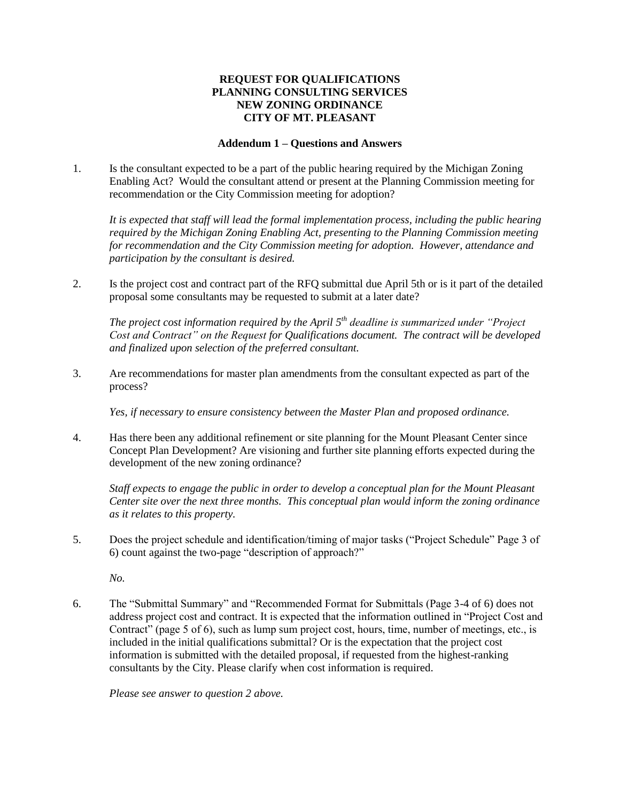## **REQUEST FOR QUALIFICATIONS PLANNING CONSULTING SERVICES NEW ZONING ORDINANCE CITY OF MT. PLEASANT**

## **Addendum 1 – Questions and Answers**

1. Is the consultant expected to be a part of the public hearing required by the Michigan Zoning Enabling Act? Would the consultant attend or present at the Planning Commission meeting for recommendation or the City Commission meeting for adoption?

*It is expected that staff will lead the formal implementation process, including the public hearing required by the Michigan Zoning Enabling Act, presenting to the Planning Commission meeting for recommendation and the City Commission meeting for adoption. However, attendance and participation by the consultant is desired.* 

2. Is the project cost and contract part of the RFQ submittal due April 5th or is it part of the detailed proposal some consultants may be requested to submit at a later date?

*The project cost information required by the April 5th deadline is summarized under "Project Cost and Contract" on the Request for Qualifications document. The contract will be developed and finalized upon selection of the preferred consultant.*

3. Are recommendations for master plan amendments from the consultant expected as part of the process?

*Yes, if necessary to ensure consistency between the Master Plan and proposed ordinance.*

4. Has there been any additional refinement or site planning for the Mount Pleasant Center since Concept Plan Development? Are visioning and further site planning efforts expected during the development of the new zoning ordinance?

*Staff expects to engage the public in order to develop a conceptual plan for the Mount Pleasant Center site over the next three months. This conceptual plan would inform the zoning ordinance as it relates to this property.*

5. Does the project schedule and identification/timing of major tasks ("Project Schedule" Page 3 of 6) count against the two-page "description of approach?"

*No.*

6. The "Submittal Summary" and "Recommended Format for Submittals (Page 3-4 of 6) does not address project cost and contract. It is expected that the information outlined in "Project Cost and Contract" (page 5 of 6), such as lump sum project cost, hours, time, number of meetings, etc., is included in the initial qualifications submittal? Or is the expectation that the project cost information is submitted with the detailed proposal, if requested from the highest-ranking consultants by the City. Please clarify when cost information is required.

*Please see answer to question 2 above.*